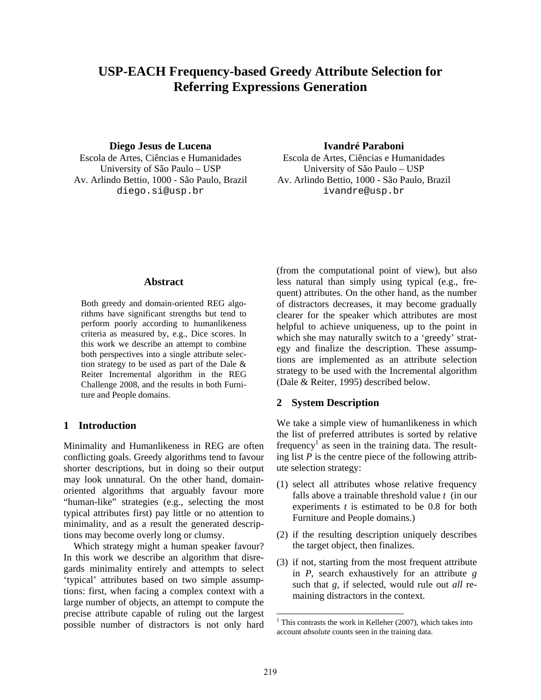# **USP-EACH Frequency-based Greedy Attribute Selection for Referring Expressions Generation**

#### **Diego Jesus de Lucena Ivandré Paraboni**

University of São Paulo – USP University of São Paulo – USP diego.si@usp.br ivandre@usp.br

Escola de Artes, Ciências e Humanidades Escola de Artes, Ciências e Humanidades Av. Arlindo Bettio, 1000 - São Paulo, Brazil Av. Arlindo Bettio, 1000 - São Paulo, Brazil

#### **Abstract**

Both greedy and domain-oriented REG algorithms have significant strengths but tend to perform poorly according to humanlikeness criteria as measured by, e.g., Dice scores. In this work we describe an attempt to combine both perspectives into a single attribute selection strategy to be used as part of the Dale & Reiter Incremental algorithm in the REG Challenge 2008, and the results in both Furniture and People domains.

### **1 Introduction**

Minimality and Humanlikeness in REG are often conflicting goals. Greedy algorithms tend to favour shorter descriptions, but in doing so their output may look unnatural. On the other hand, domainoriented algorithms that arguably favour more "human-like" strategies (e.g., selecting the most typical attributes first) pay little or no attention to minimality, and as a result the generated descriptions may become overly long or clumsy.

Which strategy might a human speaker favour? In this work we describe an algorithm that disregards minimality entirely and attempts to select 'typical' attributes based on two simple assumptions: first, when facing a complex context with a large number of objects, an attempt to compute the precise attribute capable of ruling out the largest possible number of distractors is not only hard (from the computational point of view), but also less natural than simply using typical (e.g., frequent) attributes. On the other hand, as the number of distractors decreases, it may become gradually clearer for the speaker which attributes are most helpful to achieve uniqueness, up to the point in which she may naturally switch to a 'greedy' strategy and finalize the description. These assumptions are implemented as an attribute selection strategy to be used with the Incremental algorithm (Dale & Reiter, 1995) described below.

#### **2 System Description**

We take a simple view of humanlikeness in which the list of preferred attributes is sorted by relative frequency<sup>1</sup> as seen in the training data. The resulting list *P* is the centre piece of the following attribute selection strategy:

- (1) select all attributes whose relative frequency falls above a trainable threshold value *t* (in our experiments *t* is estimated to be 0.8 for both Furniture and People domains.)
- (2) if the resulting description uniquely describes the target object, then finalizes.
- (3) if not, starting from the most frequent attribute in *P*, search exhaustively for an attribute *g* such that *g*, if selected, would rule out *all* remaining distractors in the context.

<sup>&</sup>lt;sup>1</sup> This contrasts the work in Kelleher (2007), which takes into account *absolute* counts seen in the training data.